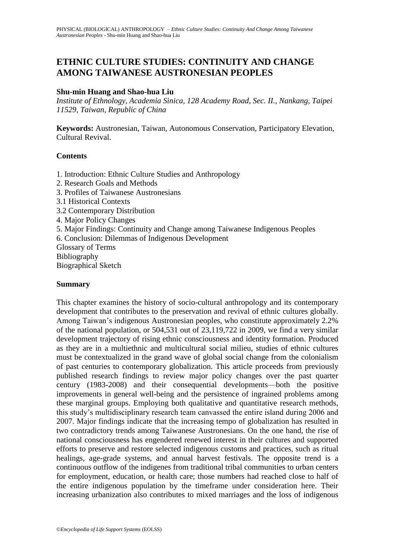# **ETHNIC CULTURE STUDIES: CONTINUITY AND CHANGE AMONG TAIWANESE AUSTRONESIAN PEOPLES**

#### **Shu-min Huang and Shao-hua Liu**

*Institute of Ethnology, Academia Sinica, 128 Academy Road, Sec. II., Nankang, Taipei 11529, Taiwan, Republic of China*

**Keywords:** Austronesian, Taiwan, Autonomous Conservation, Participatory Elevation, Cultural Revival.

#### **Contents**

1. Introduction: Ethnic Culture Studies and Anthropology 2. Research Goals and Methods 3. Profiles of Taiwanese Austronesians 3.1 Historical Contexts 3.2 Contemporary Distribution 4. Major Policy Changes 5. Major Findings: Continuity and Change among Taiwanese Indigenous Peoples 6. Conclusion: Dilemmas of Indigenous Development Glossary of Terms Bibliography Biographical Sketch

### **Summary**

This chapter examines the history of socio-cultural anthropology and its contemporary development that contributes to the preservation and revival of ethnic cultures globally. Among Taiwan's indigenous Austronesian peoples, who constitute approximately 2.2% of the national population, or 504,531 out of 23,119,722 in 2009, we find a very similar development trajectory of rising ethnic consciousness and identity formation. Produced as they are in a multiethnic and multicultural social milieu, studies of ethnic cultures must be contextualized in the grand wave of global social change from the colonialism of past centuries to contemporary globalization. This article proceeds from previously published research findings to review major policy changes over the past quarter century (1983-2008) and their consequential developments—both the positive improvements in general well-being and the persistence of ingrained problems among these marginal groups. Employing both qualitative and quantitative research methods, this study's multidisciplinary research team canvassed the entire island during 2006 and 2007. Major findings indicate that the increasing tempo of globalization has resulted in two contradictory trends among Taiwanese Austronesians. On the one hand, the rise of national consciousness has engendered renewed interest in their cultures and supported efforts to preserve and restore selected indigenous customs and practices, such as ritual healings, age-grade systems, and annual harvest festivals. The opposite trend is a continuous outflow of the indigenes from traditional tribal communities to urban centers for employment, education, or health care; those numbers had reached close to half of the entire indigenous population by the timeframe under consideration here. Their increasing urbanization also contributes to mixed marriages and the loss of indigenous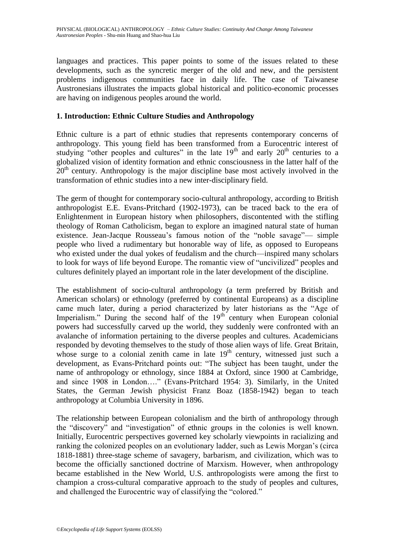languages and practices. This paper points to some of the issues related to these developments, such as the syncretic merger of the old and new, and the persistent problems indigenous communities face in daily life. The case of Taiwanese Austronesians illustrates the impacts global historical and politico-economic processes are having on indigenous peoples around the world.

### **1. Introduction: Ethnic Culture Studies and Anthropology**

Ethnic culture is a part of ethnic studies that represents contemporary concerns of anthropology. This young field has been transformed from a Eurocentric interest of studying "other peoples and cultures" in the late  $19<sup>th</sup>$  and early  $20<sup>th</sup>$  centuries to a globalized vision of identity formation and ethnic consciousness in the latter half of the  $20<sup>th</sup>$  century. Anthropology is the major discipline base most actively involved in the transformation of ethnic studies into a new inter-disciplinary field.

The germ of thought for contemporary socio-cultural anthropology, according to British anthropologist E.E. Evans-Pritchard (1902-1973), can be traced back to the era of Enlightenment in European history when philosophers, discontented with the stifling theology of Roman Catholicism, began to explore an imagined natural state of human existence. Jean-Jacque Rousseau's famous notion of the "noble savage"— simple people who lived a rudimentary but honorable way of life, as opposed to Europeans who existed under the dual yokes of feudalism and the church—inspired many scholars to look for ways of life beyond Europe. The romantic view of "uncivilized" peoples and cultures definitely played an important role in the later development of the discipline.

The establishment of socio-cultural anthropology (a term preferred by British and American scholars) or ethnology (preferred by continental Europeans) as a discipline came much later, during a period characterized by later historians as the "Age of Imperialism." During the second half of the  $19<sup>th</sup>$  century when European colonial powers had successfully carved up the world, they suddenly were confronted with an avalanche of information pertaining to the diverse peoples and cultures. Academicians responded by devoting themselves to the study of those alien ways of life. Great Britain, whose surge to a colonial zenith came in late  $19<sup>th</sup>$  century, witnessed just such a development, as Evans-Pritchard points out: "The subject has been taught, under the name of anthropology or ethnology, since 1884 at Oxford, since 1900 at Cambridge, and since 1908 in London…." (Evans-Pritchard 1954: 3). Similarly, in the United States, the German Jewish physicist Franz Boaz (1858-1942) began to teach anthropology at Columbia University in 1896.

The relationship between European colonialism and the birth of anthropology through the "discovery" and "investigation" of ethnic groups in the colonies is well known. Initially, Eurocentric perspectives governed key scholarly viewpoints in racializing and ranking the colonized peoples on an evolutionary ladder, such as Lewis Morgan's (circa 1818-1881) three-stage scheme of savagery, barbarism, and civilization, which was to become the officially sanctioned doctrine of Marxism. However, when anthropology became established in the New World, U.S. anthropologists were among the first to champion a cross-cultural comparative approach to the study of peoples and cultures, and challenged the Eurocentric way of classifying the "colored."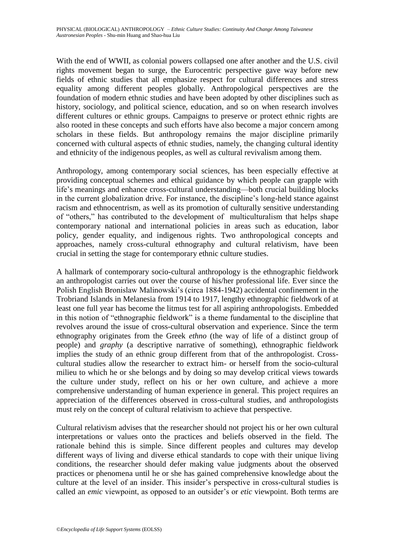With the end of WWII, as colonial powers collapsed one after another and the U.S. civil rights movement began to surge, the Eurocentric perspective gave way before new fields of ethnic studies that all emphasize respect for cultural differences and stress equality among different peoples globally. Anthropological perspectives are the foundation of modern ethnic studies and have been adopted by other disciplines such as history, sociology, and political science, education, and so on when research involves different cultures or ethnic groups. Campaigns to preserve or protect ethnic rights are also rooted in these concepts and such efforts have also become a major concern among scholars in these fields. But anthropology remains the major discipline primarily concerned with cultural aspects of ethnic studies, namely, the changing cultural identity and ethnicity of the indigenous peoples, as well as cultural revivalism among them.

Anthropology, among contemporary social sciences, has been especially effective at providing conceptual schemes and ethical guidance by which people can grapple with life's meanings and enhance cross-cultural understanding—both crucial building blocks in the current globalization drive. For instance, the discipline's long-held stance against racism and ethnocentrism, as well as its promotion of culturally sensitive understanding of "others," has contributed to the development of multiculturalism that helps shape contemporary national and international policies in areas such as education, labor policy, gender equality, and indigenous rights. Two anthropological concepts and approaches, namely cross-cultural ethnography and cultural relativism, have been crucial in setting the stage for contemporary ethnic culture studies.

A hallmark of contemporary socio-cultural anthropology is the ethnographic fieldwork an anthropologist carries out over the course of his/her professional life. Ever since the Polish English Bronislaw Malinowski's (circa 1884-1942) accidental confinement in the Trobriand Islands in Melanesia from 1914 to 1917, lengthy ethnographic fieldwork of at least one full year has become the litmus test for all aspiring anthropologists. Embedded in this notion of "ethnographic fieldwork" is a theme fundamental to the discipline that revolves around the issue of cross-cultural observation and experience. Since the term ethnography originates from the Greek *ethno* (the way of life of a distinct group of people) and *graphy* (a descriptive narrative of something), ethnographic fieldwork implies the study of an ethnic group different from that of the anthropologist. Crosscultural studies allow the researcher to extract him- or herself from the socio-cultural milieu to which he or she belongs and by doing so may develop critical views towards the culture under study, reflect on his or her own culture, and achieve a more comprehensive understanding of human experience in general. This project requires an appreciation of the differences observed in cross-cultural studies, and anthropologists must rely on the concept of cultural relativism to achieve that perspective.

Cultural relativism advises that the researcher should not project his or her own cultural interpretations or values onto the practices and beliefs observed in the field. The rationale behind this is simple. Since different peoples and cultures may develop different ways of living and diverse ethical standards to cope with their unique living conditions, the researcher should defer making value judgments about the observed practices or phenomena until he or she has gained comprehensive knowledge about the culture at the level of an insider. This insider's perspective in cross-cultural studies is called an *emic* viewpoint, as opposed to an outsider's or *etic* viewpoint. Both terms are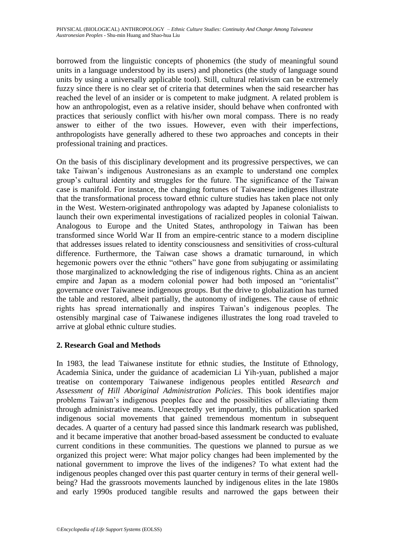borrowed from the linguistic concepts of phonemics (the study of meaningful sound units in a language understood by its users) and phonetics (the study of language sound units by using a universally applicable tool). Still, cultural relativism can be extremely fuzzy since there is no clear set of criteria that determines when the said researcher has reached the level of an insider or is competent to make judgment. A related problem is how an anthropologist, even as a relative insider, should behave when confronted with practices that seriously conflict with his/her own moral compass. There is no ready answer to either of the two issues. However, even with their imperfections, anthropologists have generally adhered to these two approaches and concepts in their professional training and practices.

On the basis of this disciplinary development and its progressive perspectives, we can take Taiwan's indigenous Austronesians as an example to understand one complex group's cultural identity and struggles for the future. The significance of the Taiwan case is manifold. For instance, the changing fortunes of Taiwanese indigenes illustrate that the transformational process toward ethnic culture studies has taken place not only in the West. Western-originated anthropology was adapted by Japanese colonialists to launch their own experimental investigations of racialized peoples in colonial Taiwan. Analogous to Europe and the United States, anthropology in Taiwan has been transformed since World War II from an empire-centric stance to a modern discipline that addresses issues related to identity consciousness and sensitivities of cross-cultural difference. Furthermore, the Taiwan case shows a dramatic turnaround, in which hegemonic powers over the ethnic "others" have gone from subjugating or assimilating those marginalized to acknowledging the rise of indigenous rights. China as an ancient empire and Japan as a modern colonial power had both imposed an "orientalist" governance over Taiwanese indigenous groups. But the drive to globalization has turned the table and restored, albeit partially, the autonomy of indigenes. The cause of ethnic rights has spread internationally and inspires Taiwan's indigenous peoples. The ostensibly marginal case of Taiwanese indigenes illustrates the long road traveled to arrive at global ethnic culture studies.

# **2. Research Goal and Methods**

In 1983, the lead Taiwanese institute for ethnic studies, the Institute of Ethnology, Academia Sinica, under the guidance of academician Li Yih-yuan, published a major treatise on contemporary Taiwanese indigenous peoples entitled *Research and Assessment of Hill Aboriginal Administration Policies*. This book identifies major problems Taiwan's indigenous peoples face and the possibilities of alleviating them through administrative means. Unexpectedly yet importantly, this publication sparked indigenous social movements that gained tremendous momentum in subsequent decades. A quarter of a century had passed since this landmark research was published, and it became imperative that another broad-based assessment be conducted to evaluate current conditions in these communities. The questions we planned to pursue as we organized this project were: What major policy changes had been implemented by the national government to improve the lives of the indigenes? To what extent had the indigenous peoples changed over this past quarter century in terms of their general wellbeing? Had the grassroots movements launched by indigenous elites in the late 1980s and early 1990s produced tangible results and narrowed the gaps between their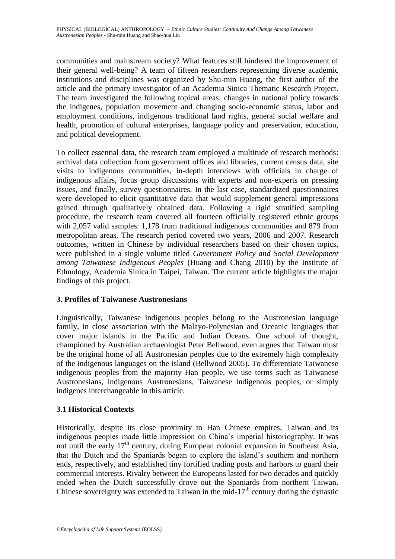communities and mainstream society? What features still hindered the improvement of their general well-being? A team of fifteen researchers representing diverse academic institutions and disciplines was organized by Shu-min Huang, the first author of the article and the primary investigator of an Academia Sinica Thematic Research Project. The team investigated the following topical areas: changes in national policy towards the indigenes, population movement and changing socio-economic status, labor and employment conditions, indigenous traditional land rights, general social welfare and health, promotion of cultural enterprises, language policy and preservation, education, and political development.

To collect essential data, the research team employed a multitude of research methods: archival data collection from government offices and libraries, current census data, site visits to indigenous communities, in-depth interviews with officials in charge of indigenous affairs, focus group discussions with experts and non-experts on pressing issues, and finally, survey questionnaires. In the last case, standardized questionnaires were developed to elicit quantitative data that would supplement general impressions gained through qualitatively obtained data. Following a rigid stratified sampling procedure, the research team covered all fourteen officially registered ethnic groups with 2,057 valid samples: 1,178 from traditional indigenous communities and 879 from metropolitan areas. The research period covered two years, 2006 and 2007. Research outcomes, written in Chinese by individual researchers based on their chosen topics, were published in a single volume titled *Government Policy and Social Development among Taiwanese Indigenous Peoples* (Huang and Chang 2010) by the Institute of Ethnology, Academia Sinica in Taipei, Taiwan. The current article highlights the major findings of this project.

# **3. Profiles of Taiwanese Austronesians**

Linguistically, Taiwanese indigenous peoples belong to the Austronesian language family, in close association with the Malayo-Polynesian and Oceanic languages that cover major islands in the Pacific and Indian Oceans. One school of thought, championed by Australian archaeologist Peter Bellwood, even argues that Taiwan must be the original home of all Austronesian peoples due to the extremely high complexity of the indigenous languages on the island (Bellwood 2005). To differentiate Taiwanese indigenous peoples from the majority Han people, we use terms such as Taiwanese Austronesians, indigenous Austronesians, Taiwanese indigenous peoples, or simply indigenes interchangeable in this article.

# **3.1 Historical Contexts**

Historically, despite its close proximity to Han Chinese empires, Taiwan and its indigenous peoples made little impression on China's imperial historiography. It was not until the early 17<sup>th</sup> century, during European colonial expansion in Southeast Asia, that the Dutch and the Spaniards began to explore the island's southern and northern ends, respectively, and established tiny fortified trading posts and harbors to guard their commercial interests. Rivalry between the Europeans lasted for two decades and quickly ended when the Dutch successfully drove out the Spaniards from northern Taiwan. Chinese sovereignty was extended to Taiwan in the mid- $17<sup>th</sup>$  century during the dynastic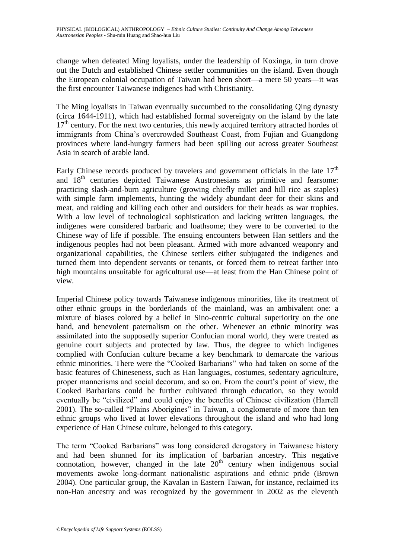change when defeated Ming loyalists, under the leadership of Koxinga, in turn drove out the Dutch and established Chinese settler communities on the island. Even though the European colonial occupation of Taiwan had been short—a mere 50 years—it was the first encounter Taiwanese indigenes had with Christianity.

The Ming loyalists in Taiwan eventually succumbed to the consolidating Qing dynasty (circa 1644-1911), which had established formal sovereignty on the island by the late  $17<sup>th</sup>$  century. For the next two centuries, this newly acquired territory attracted hordes of immigrants from China's overcrowded Southeast Coast, from Fujian and Guangdong provinces where land-hungry farmers had been spilling out across greater Southeast Asia in search of arable land.

Early Chinese records produced by travelers and government officials in the late  $17<sup>th</sup>$ and 18th centuries depicted Taiwanese Austronesians as primitive and fearsome: practicing slash-and-burn agriculture (growing chiefly millet and hill rice as staples) with simple farm implements, hunting the widely abundant deer for their skins and meat, and raiding and killing each other and outsiders for their heads as war trophies. With a low level of technological sophistication and lacking written languages, the indigenes were considered barbaric and loathsome; they were to be converted to the Chinese way of life if possible. The ensuing encounters between Han settlers and the indigenous peoples had not been pleasant. Armed with more advanced weaponry and organizational capabilities, the Chinese settlers either subjugated the indigenes and turned them into dependent servants or tenants, or forced them to retreat farther into high mountains unsuitable for agricultural use—at least from the Han Chinese point of view.

Imperial Chinese policy towards Taiwanese indigenous minorities, like its treatment of other ethnic groups in the borderlands of the mainland, was an ambivalent one: a mixture of biases colored by a belief in Sino-centric cultural superiority on the one hand, and benevolent paternalism on the other. Whenever an ethnic minority was assimilated into the supposedly superior Confucian moral world, they were treated as genuine court subjects and protected by law. Thus, the degree to which indigenes complied with Confucian culture became a key benchmark to demarcate the various ethnic minorities. There were the "Cooked Barbarians" who had taken on some of the basic features of Chineseness, such as Han languages, costumes, sedentary agriculture, proper mannerisms and social decorum, and so on. From the court's point of view, the Cooked Barbarians could be further cultivated through education, so they would eventually be "civilized" and could enjoy the benefits of Chinese civilization (Harrell 2001). The so-called "Plains Aborigines" in Taiwan, a conglomerate of more than ten ethnic groups who lived at lower elevations throughout the island and who had long experience of Han Chinese culture, belonged to this category.

The term "Cooked Barbarians" was long considered derogatory in Taiwanese history and had been shunned for its implication of barbarian ancestry. This negative connotation, however, changed in the late  $20<sup>th</sup>$  century when indigenous social movements awoke long-dormant nationalistic aspirations and ethnic pride (Brown 2004). One particular group, the Kavalan in Eastern Taiwan, for instance, reclaimed its non-Han ancestry and was recognized by the government in 2002 as the eleventh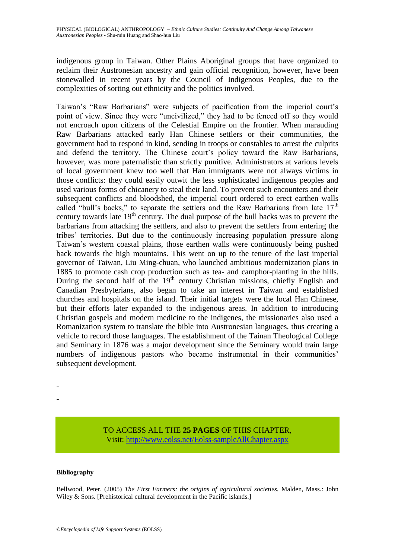indigenous group in Taiwan. Other Plains Aboriginal groups that have organized to reclaim their Austronesian ancestry and gain official recognition, however, have been stonewalled in recent years by the Council of Indigenous Peoples, due to the complexities of sorting out ethnicity and the politics involved.

Taiwan's "Raw Barbarians" were subjects of pacification from the imperial court's point of view. Since they were "uncivilized," they had to be fenced off so they would not encroach upon citizens of the Celestial Empire on the frontier. When marauding Raw Barbarians attacked early Han Chinese settlers or their communities, the government had to respond in kind, sending in troops or constables to arrest the culprits and defend the territory. The Chinese court's policy toward the Raw Barbarians, however, was more paternalistic than strictly punitive. Administrators at various levels of local government knew too well that Han immigrants were not always victims in those conflicts: they could easily outwit the less sophisticated indigenous peoples and used various forms of chicanery to steal their land. To prevent such encounters and their subsequent conflicts and bloodshed, the imperial court ordered to erect earthen walls called "bull's backs," to separate the settlers and the Raw Barbarians from late  $17<sup>th</sup>$ century towards late  $19<sup>th</sup>$  century. The dual purpose of the bull backs was to prevent the barbarians from attacking the settlers, and also to prevent the settlers from entering the tribes' territories. But due to the continuously increasing population pressure along Taiwan's western coastal plains, those earthen walls were continuously being pushed back towards the high mountains. This went on up to the tenure of the last imperial governor of Taiwan, Liu Ming-chuan, who launched ambitious modernization plans in 1885 to promote cash crop production such as tea- and camphor-planting in the hills. During the second half of the  $19<sup>th</sup>$  century Christian missions, chiefly English and Canadian Presbyterians, also began to take an interest in Taiwan and established churches and hospitals on the island. Their initial targets were the local Han Chinese, but their efforts later expanded to the indigenous areas. In addition to introducing Christian gospels and modern medicine to the indigenes, the missionaries also used a Romanization system to translate the bible into Austronesian languages, thus creating a vehicle to record those languages. The establishment of the Tainan Theological College and Seminary in 1876 was a major development since the Seminary would train large numbers of indigenous pastors who became instrumental in their communities' subsequent development.

> TO ACCESS ALL THE **25 PAGES** OF THIS CHAPTER, Visi[t: http://www.eolss.net/Eolss-sampleAllChapter.aspx](https://www.eolss.net/ebooklib/sc_cart.aspx?File=E6-20A-26-00)

#### **Bibliography**

- -

Bellwood, Peter. (2005) *The First Farmers: the origins of agricultural societies.* Malden, Mass.: John Wiley & Sons. [Prehistorical cultural development in the Pacific islands.]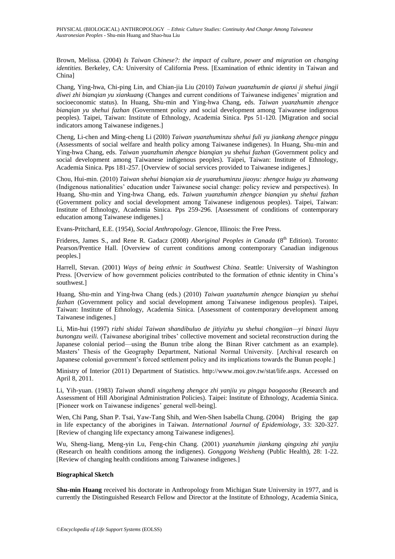Brown, Melissa. (2004) *Is Taiwan Chinese?: the impact of culture, power and migration on changing identities.* Berkeley, CA: University of California Press. [Examination of ethnic identity in Taiwan and China]

Chang, Ying-hwa, Chi-ping Lin, and Chian-jia Liu (2010) *Taiwan yuanzhumin de qianxi ji shehui jingji diwei zhi bianqian yu xiankuang* (Changes and current conditions of Taiwanese indigenes' migration and socioeconomic status). In Huang, Shu-min and Ying-hwa Chang, eds. *Taiwan yuanzhumin zhengce bianqian yu shehui fazhan* (Government policy and social development among Taiwanese indigenous peoples). Taipei, Taiwan: Institute of Ethnology, Academia Sinica. Pps 51-120. [Migration and social indicators among Taiwanese indigenes.]

Cheng, Li-chen and Ming-cheng Li (20l0) *Taiwan yuanzhuminzu shehui fuli yu jiankang zhengce pinggu* (Assessments of social welfare and health policy among Taiwanese indigenes). In Huang, Shu-min and Ying-hwa Chang, eds. *Taiwan yuanzhumin zhengce bianqian yu shehui fazhan* (Government policy and social development among Taiwanese indigenous peoples). Taipei, Taiwan: Institute of Ethnology, Academia Sinica. Pps 181-257. [Overview of social services provided to Taiwanese indigenes.]

Chou, Hui-min. (2010) *Taiwan shehui bianqian xia de yuanzhuminzu jiaoyu: zhengce huigu yu zhanwang*  (Indigenous nationalities' education under Taiwanese social change: policy review and perspectives). In Huang, Shu-min and Ying-hwa Chang, eds. *Taiwan yuanzhumin zhengce bianqian yu shehui fazhan*  (Government policy and social development among Taiwanese indigenous peoples). Taipei, Taiwan: Institute of Ethnology, Academia Sinica. Pps 259-296. [Assessment of conditions of contemporary education among Taiwanese indigenes.]

Evans-Pritchard, E.E. (1954), *Social Anthropology*. Glencoe, Illinois: the Free Press.

Frideres, James S., and Rene R. Gadacz (2008) *Aboriginal Peoples in Canada* (8<sup>th</sup> Edition). Toronto: Pearson/Prentice Hall. [Overview of current conditions among contemporary Canadian indigenous peoples.]

Harrell, Stevan. (2001) *Ways of being ethnic in Southwest China*. Seattle: University of Washington Press. [Overview of how government policies contributed to the formation of ethnic identity in China's southwest.]

Huang, Shu-min and Ying-hwa Chang (eds.) (2010) *Taiwan yuanzhumin zhengce bianqian yu shehui fazhan* (Government policy and social development among Taiwanese indigenous peoples). Taipei, Taiwan: Institute of Ethnology, Academia Sinica. [Assessment of contemporary development among Taiwanese indigenes.]

Li, Min-hui (1997) *rizhi shidai Taiwan shandibuluo de jitiyizhu yu shehui chongjian—yi binaxi liuyu bunongzu weili.* (Taiwanese aboriginal tribes' collective movement and societal reconstruction during the Japanese colonial period—using the Bunun tribe along the Binan River catchment as an example). Masters' Thesis of the Geography Department, National Normal University. [Archival research on Japanese colonial government's forced settlement policy and its implications towards the Bunun people.]

Ministry of Interior (2011) Department of Statistics. http://www.moi.gov.tw/stat/life.aspx. Accessed on April 8, 2011.

Li, Yih-yuan. (1983) *Taiwan shandi xingzheng zhengce zhi yanjiu yu pinggu baogaoshu* (Research and Assessment of Hill Aboriginal Administration Policies). Taipei: Institute of Ethnology, Academia Sinica. [Pioneer work on Taiwanese indigenes' general well-being].

Wen, Chi Pang, Shan P. Tsai, Yaw-Tang Shih, and Wen-Shen Isabella Chung. (2004) Briging the gap in life expectancy of the aborigines in Taiwan. *International Journal of Epidemiology*, 33: 320-327. [Review of changing life expectancy among Taiwanese indigenes].

Wu, Sheng-liang, Meng-yin Lu, Feng-chin Chang. (2001) *yuanzhumin jiankang qingxing zhi yanjiu* (Research on health conditions among the indigenes). *Gonggong Weisheng* (Public Health), 28: 1-22. [Review of changing health conditions among Taiwanese indigenes.]

#### **Biographical Sketch**

**Shu-min Huang** received his doctorate in Anthropology from Michigan State University in 1977, and is currently the Distinguished Research Fellow and Director at the Institute of Ethnology, Academia Sinica,